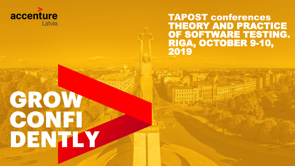

Copyright 2019 Accenture. All rights reserved.

GROW

CONFI

DENTIY

TAPOST conferences THEORY AND PRACTICE OF SOFTWARE TESTING. RIGA, OCTOBER 9-10, 2019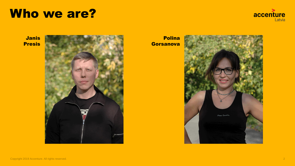#### Who we are?



Janis Presis



Polina **Gorsanova**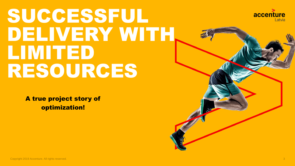### SUCCESSFUL DELIVERY WITH LIMITED RESOURCES

A true project story of optimization!



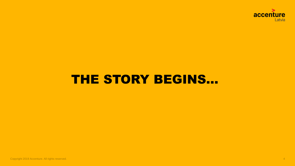

#### THE STORY BEGINS...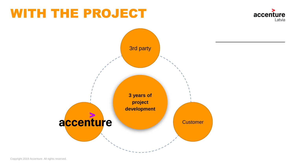#### WITH THE PROJECT





Copyright 2019 Accenture. All rights reserved.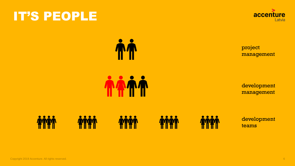#### IT'S PEOPLE



project management

development management



**The Set of Set of Set of Set of Set of Set of Set of Set of Set of Set of Set of Set of Set of Set of Set of S** 

TATT

development teams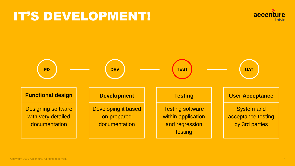### IT'S DEVELOPMENT!



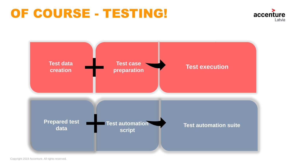#### OF COURSE - TESTING!





Copyright 2019 Accenture. All rights reserved.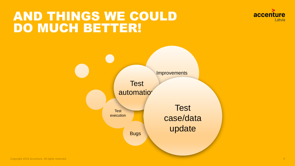#### AND THINGS WE COULD DO MUCH BETTER!



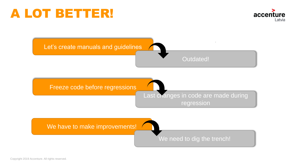#### A LOT BETTER!



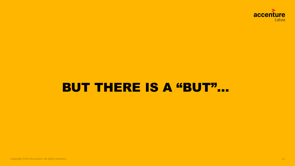

#### **BUT THERE IS A "BUT"...**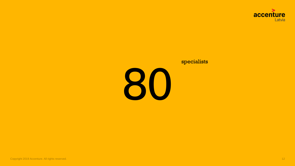

#### specialists

80

Copyright 2019 Accenture. All rights reserved. 12 Accenture 2014 12 Accenture 2014 12 Accenture. All rights reserved.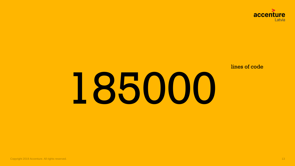

lines of code

# 185000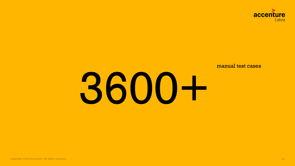

manual test cases

# 3600+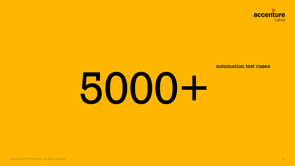

automation test cases

# 5000+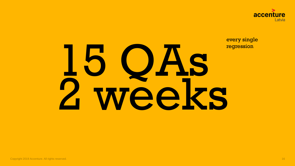

every single

## **regression** eks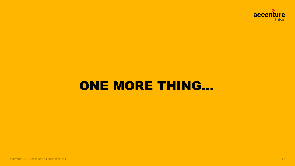

#### ONE MORE THING...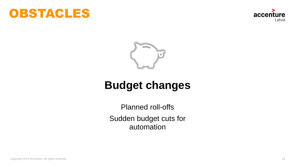





#### **Budget changes**

Planned roll-offs Sudden budget cuts for automation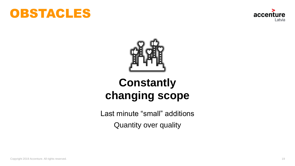





#### **Constantly changing scope**

Last minute "small" additions Quantity over quality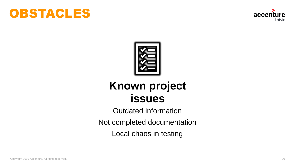





#### **Known project issues**

Outdated information

Not completed documentation

Local chaos in testing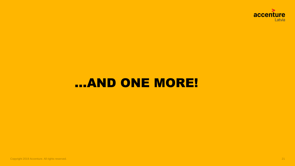

#### ...AND ONE MORE!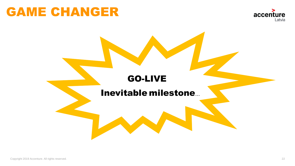#### GAME CHANGER



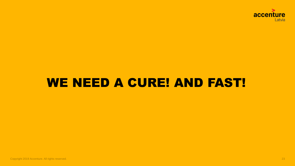

#### WE NEED A CURE! AND FAST!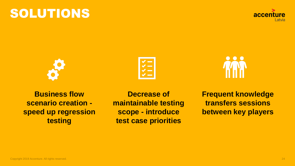## SOLUTIONS

**Business flow scenario creation speed up regression testing**

**Decrease of maintainable testing scope - introduce test case priorities**

**Frequent knowledge transfers sessions between key players**





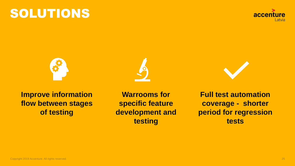### SOLUTIONS

**Improve information flow between stages of testing**

**Warrooms for specific feature development and testing**

**Full test automation coverage - shorter period for regression tests**







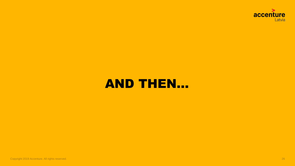

#### **AND THEN...**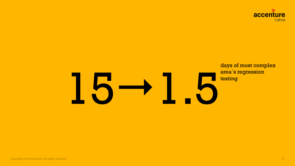

### days of most complex area`s regression **15 - 15**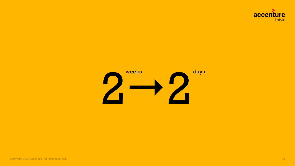

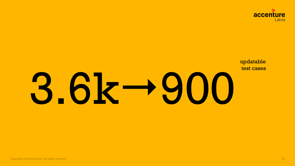

3.6k + 900

updatable test cases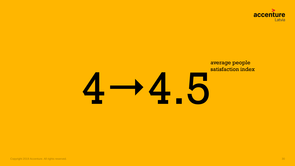

#### average people satisfaction index

# 44.5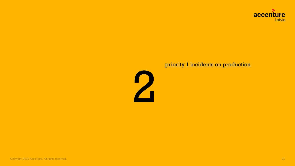

#### priority 1 incidents on production

2

Copyright 2019 Accenture. All rights reserved. **31** Section 2014 10:30 the served of the served of the served of the served of the served of the served of the served of the served of the served of the served of the served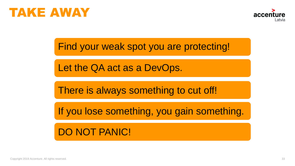



Find your weak spot you are protecting!

Let the QA act as a DevOps.

There is always something to cut off!

If you lose something, you gain something.

DO NOT PANIC!